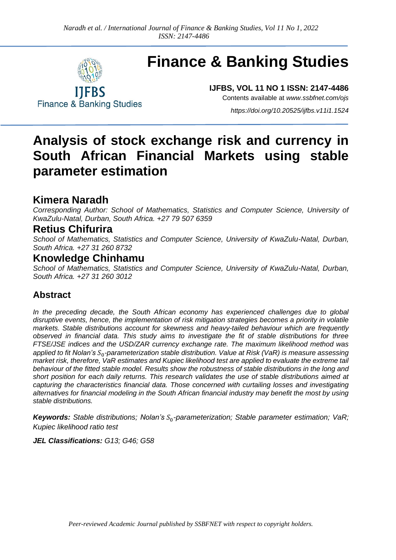

# **Finance & Banking Studies**

**Finance & Banking Studies** 

**IJFBS, VOL 11 NO 1 ISSN: 2147-4486**

Contents available at *[www.ssbfnet.com/ojs](http://www.ssbfnet.com/ojs)*

*<https://doi.org/10.20525/ijfbs.v11i1.1524>*

## **Analysis of stock exchange risk and currency in South African Financial Markets using stable parameter estimation**

### **Kimera Naradh**

*Corresponding Author: School of Mathematics, Statistics and Computer Science, University of KwaZulu-Natal, Durban, South Africa. +27 79 507 6359*

### **Retius Chifurira**

*School of Mathematics, Statistics and Computer Science, University of KwaZulu-Natal, Durban, South Africa. +27 31 260 8732*

### **Knowledge Chinhamu**

*School of Mathematics, Statistics and Computer Science, University of KwaZulu-Natal, Durban, South Africa. +27 31 260 3012*

### **Abstract**

*In the preceding decade, the South African economy has experienced challenges due to global disruptive events, hence, the implementation of risk mitigation strategies becomes a priority in volatile markets. Stable distributions account for skewness and heavy-tailed behaviour which are frequently observed in financial data. This study aims to investigate the fit of stable distributions for three FTSE/JSE indices and the USD/ZAR currency exchange rate. The maximum likelihood method was*  applied to fit Nolan's S<sub>0</sub>-parameterization stable distribution. Value at Risk (VaR) is measure assessing *market risk, therefore, VaR estimates and Kupiec likelihood test are applied to evaluate the extreme tail behaviour of the fitted stable model. Results show the robustness of stable distributions in the long and short position for each daily returns. This research validates the use of stable distributions aimed at capturing the characteristics financial data. Those concerned with curtailing losses and investigating alternatives for financial modeling in the South African financial industry may benefit the most by using stable distributions.*

*Keywords: Stable distributions; Nolan's* 0*-parameterization; Stable parameter estimation; VaR; Kupiec likelihood ratio test*

*JEL Classifications: G13; G46; G58*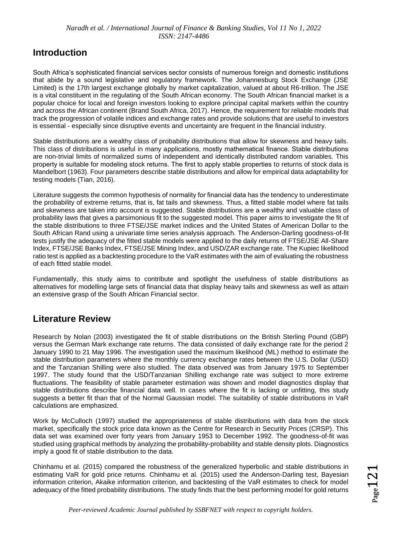### **Introduction**

South Africa's sophisticated financial services sector consists of numerous foreign and domestic institutions that abide by a sound legislative and regulatory framework. The Johannesburg Stock Exchange (JSE Limited) is the 17th largest exchange globally by market capitalization, valued at about R6-trillion. The JSE is a vital constituent in the regulating of the South African economy. The South African financial market is a popular choice for local and foreign investors looking to explore principal capital markets within the country and across the African continent (Brand South Africa, 2017). Hence, the requirement for reliable models that track the progression of volatile indices and exchange rates and provide solutions that are useful to investors is essential - especially since disruptive events and uncertainty are frequent in the financial industry.

Stable distributions are a wealthy class of probability distributions that allow for skewness and heavy tails. This class of distributions is useful in many applications, mostly mathematical finance. Stable distributions are non-trivial limits of normalized sums of independent and identically distributed random variables. This property is suitable for modeling stock returns. The first to apply stable properties to returns of stock data is Mandelbort (1963). Four parameters describe stable distributions and allow for empirical data adaptability for testing models (Tian, 2016).

Literature suggests the common hypothesis of normality for financial data has the tendency to underestimate the probability of extreme returns, that is, fat tails and skewness. Thus, a fitted stable model where fat tails and skewness are taken into account is suggested. Stable distributions are a wealthy and valuable class of probability laws that gives a parsimonious fit to the suggested model. This paper aims to investigate the fit of the stable distributions to three FTSE/JSE market indices and the United States of American Dollar to the South African Rand using a univariate time series analysis approach. The Anderson-Darling goodness-of-fit tests justify the adequacy of the fitted stable models were applied to the daily returns of FTSE/JSE All-Share Index, FTSE/JSE Banks Index, FTSE/JSE Mining Index, and USD/ZAR exchange rate. The Kupiec likelihood ratio test is applied as a backtesting procedure to the VaR estimates with the aim of evaluating the robustness of each fitted stable model.

Fundamentally, this study aims to contribute and spotlight the usefulness of stable distributions as alternatives for modelling large sets of financial data that display heavy tails and skewness as well as attain an extensive grasp of the South African Financial sector.

### **Literature Review**

Research by Nolan (2003) investigated the fit of stable distributions on the British Sterling Pound (GBP) versus the German Mark exchange rate returns. The data consisted of daily exchange rate for the period 2 January 1990 to 21 May 1996. The investigation used the maximum likelihood (ML) method to estimate the stable distribution parameters where the monthly currency exchange rates between the U.S. Dollar (USD) and the Tanzanian Shilling were also studied. The data observed was from January 1975 to September 1997. The study found that the USD/Tanzanian Shilling exchange rate was subject to more extreme fluctuations. The feasibility of stable parameter estimation was shown and model diagnostics display that stable distributions describe financial data well. In cases where the fit is lacking or unfitting, this study suggests a better fit than that of the Normal Gaussian model. The suitability of stable distributions in VaR calculations are emphasized.

Work by McCulloch (1997) studied the appropriateness of stable distributions with data from the stock market, specifically the stock price data known as the Centre for Research in Security Prices (CRSP). This data set was examined over forty years from January 1953 to December 1992. The goodness-of-fit was studied using graphical methods by analyzing the probability-probability and stable density plots. Diagnostics imply a good fit of stable distribution to the data.

Chinhamu et al. (2015) compared the robustness of the generalized hyperbolic and stable distributions in estimating VaR for gold price returns. Chinhamu et al. (2015) used the Anderson-Darling test, Bayesian information criterion, Akaike information criterion, and backtesting of the VaR estimates to check for model adequacy of the fitted probability distributions. The study finds that the best performing model for gold returns

 $_{\rm Page}$ 121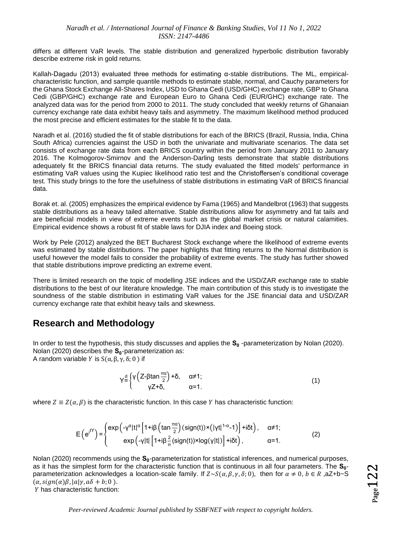differs at different VaR levels. The stable distribution and generalized hyperbolic distribution favorably describe extreme risk in gold returns.

Kallah-Dagadu (2013) evaluated three methods for estimating α-stable distributions. The ML, empiricalcharacteristic function, and sample quantile methods to estimate stable, normal, and Cauchy parameters for the Ghana Stock Exchange All-Shares Index, USD to Ghana Cedi (USD/GHC) exchange rate, GBP to Ghana Cedi (GBP/GHC) exchange rate and European Euro to Ghana Cedi (EUR/GHC) exchange rate. The analyzed data was for the period from 2000 to 2011. The study concluded that weekly returns of Ghanaian currency exchange rate data exhibit heavy tails and asymmetry. The maximum likelihood method produced the most precise and efficient estimates for the stable fit to the data.

Naradh et al. (2016) studied the fit of stable distributions for each of the BRICS (Brazil, Russia, India, China South Africa) currencies against the USD in both the univariate and multivariate scenarios. The data set consists of exchange rate data from each BRICS country within the period from January 2011 to January 2016. The Kolmogorov-Smirnov and the Anderson-Darling tests demonstrate that stable distributions adequately fit the BRICS financial data returns. The study evaluated the fitted models' performance in estimating VaR values using the Kupiec likelihood ratio test and the Christoffersen's conditional coverage test. This study brings to the fore the usefulness of stable distributions in estimating VaR of BRICS financial data.

Borak et. al. (2005) emphasizes the empirical evidence by Fama (1965) and Mandelbrot (1963) that suggests stable distributions as a heavy tailed alternative. Stable distributions allow for asymmetry and fat tails and are beneficial models in view of extreme events such as the global market crisis or natural calamities. Empirical evidence shows a robust fit of stable laws for DJIA index and Boeing stock.

Work by Pele (2012) analyzed the BET Bucharest Stock exchange where the likelihood of extreme events was estimated by stable distributions. The paper highlights that fitting returns to the Normal distribution is useful however the model fails to consider the probability of extreme events. The study has further showed that stable distributions improve predicting an extreme event.

There is limited research on the topic of modelling JSE indices and the USD/ZAR exchange rate to stable distributions to the best of our literature knowledge. The main contribution of this study is to investigate the soundness of the stable distribution in estimating VaR values for the JSE financial data and USD/ZAR currency exchange rate that exhibit heavy tails and skewness.

### **Research and Methodology**

In order to test the hypothesis, this study discusses and applies the **S<sup>0</sup>** -parameterization by Nolan (2020). Nolan (2020) describes the **S<sup>0</sup>** -parameterization as: A random variable *Y* is  $S(\alpha, \beta, \gamma, \delta; 0)$  if

$$
Y = \begin{cases} Y \left( Z - \beta \tan \frac{\pi \alpha}{2} \right) + \delta, & \alpha \neq 1; \\ Y Z + \delta, & \alpha = 1. \end{cases}
$$
 (1)

where  $Z \equiv Z(\alpha, \beta)$  is the characteristic function. In this case Y has characteristic function:

$$
E(e^{iY}) = \begin{cases} exp(-\gamma^{\alpha}|t|^{\alpha} \left[1+i\beta\left(\tan\frac{\pi\alpha}{2}\right)(sign(t)) \times (|\gamma t|^{1-\alpha}-1)\right] + i\delta t), & \alpha \neq 1; \\ exp(-\gamma|t| \left[1+i\beta\frac{2}{\pi}(sign(t)) \times log(\gamma|t|)\right] + i\delta t), & \alpha = 1. \end{cases}
$$
(2)

Nolan (2020) recommends using the **S<sup>0</sup>** -parameterization for statistical inferences, and numerical purposes, as it has the simplest form for the characteristic function that is continuous in all four parameters. The **S<sup>0</sup>** parameterization acknowledges a location-scale family. If  $Z \sim S(\alpha, \beta, \gamma, \delta; 0)$ , then for  $\alpha \neq 0$ ,  $b \in R$ ,  $aZ+b\sim S$  $(\alpha, sign(\alpha)\beta, |a|\gamma, a\delta + b; 0)$ .

Y has characteristic function: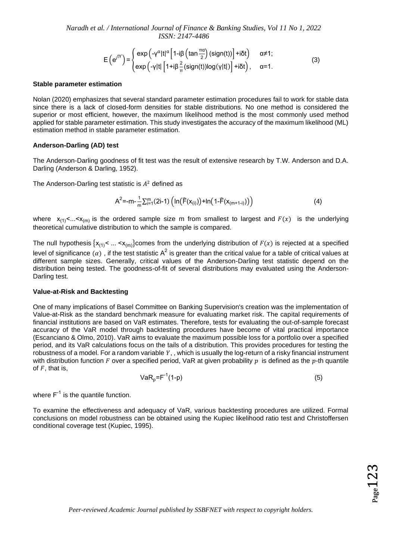$$
E(e^{i^{tY}}) = \begin{cases} exp(-\gamma^{\alpha}|t|^{\alpha} \left[1-i\beta\left(\tan\frac{\pi\alpha}{2}\right)(sign(t))\right] + i\delta t) & \alpha \neq 1; \\ exp(-\gamma|t| \left[1+i\beta\frac{2}{\pi}(sign(t))log(\gamma|t|)\right] + i\delta t), & \alpha = 1. \end{cases}
$$
(3)

#### **Stable parameter estimation**

Nolan (2020) emphasizes that several standard parameter estimation procedures fail to work for stable data since there is a lack of closed-form densities for stable distributions. No one method is considered the superior or most efficient, however, the maximum likelihood method is the most commonly used method applied for stable parameter estimation. This study investigates the accuracy of the maximum likelihood (ML) estimation method in stable parameter estimation.

#### **Anderson-Darling (AD) test**

The Anderson-Darling goodness of fit test was the result of extensive research by T.W. Anderson and D.A. Darling (Anderson & Darling, 1952).

The Anderson-Darling test statistic is  $A^2$  defined as

$$
A^{2} = -m - \frac{1}{m} \sum_{i=1}^{m} (2i-1) \left( ln(F(x_{(i)})) + ln(1-F(x_{(m+1-i)})) \right)
$$
(4)

where  $x_{(1)} \leq ... \leq x_{(m)}$  is the ordered sample size m from smallest to largest and  $F(x)$  is the underlying theoretical cumulative distribution to which the sample is compared.

The null hypothesis  $\{x_{(1)} < ... < x_{(m)}\}$ comes from the underlying distribution of  $F(x)$  is rejected at a specified level of significance  $(\alpha)$  , if the test statistic A<sup>2</sup> is greater than the critical value for a table of critical values at different sample sizes. Generally, critical values of the Anderson-Darling test statistic depend on the distribution being tested. The goodness-of-fit of several distributions may evaluated using the Anderson-Darling test.

#### **Value-at-Risk and Backtesting**

One of many implications of Basel Committee on Banking Supervision's creation was the implementation of Value-at-Risk as the standard benchmark measure for evaluating market risk. The capital requirements of financial institutions are based on VaR estimates. Therefore, tests for evaluating the out-of-sample forecast accuracy of the VaR model through backtesting procedures have become of vital practical importance (Escanciano & Olmo, 2010). VaR aims to evaluate the maximum possible loss for a portfolio over a specified period, and its VaR calculations focus on the tails of a distribution. This provides procedures for testing the robustness of a model. For a random variable  $Y$ ,, which is usually the log-return of a risky financial instrument with distribution function F over a specified period, VaR at given probability  $p$  is defined as the  $p$ -th quantile of  $F$ , that is,

$$
VaR_p = F^{-1}(1-p)
$$
\n(5)

where  $F^{-1}$  is the quantile function.

To examine the effectiveness and adequacy of VaR, various backtesting procedures are utilized. Formal conclusions on model robustness can be obtained using the Kupiec likelihood ratio test and Christoffersen conditional coverage test (Kupiec, 1995).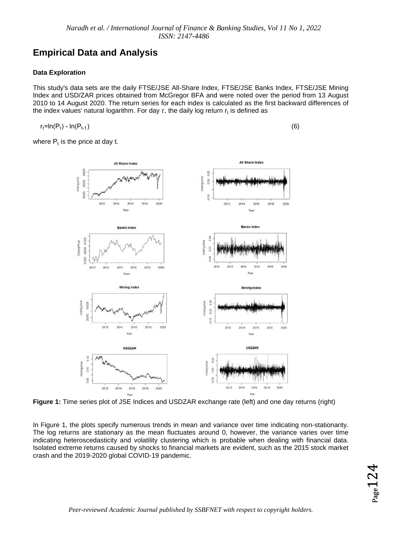### **Empirical Data and Analysis**

### **Data Exploration**

This study's data sets are the daily FTSE/JSE All-Share Index, FTSE/JSE Banks Index, FTSE/JSE Mining Index and USD/ZAR prices obtained from McGregor BFA and were noted over the period from 13 August 2010 to 14 August 2020. The return series for each index is calculated as the first backward differences of the index values' natural logarithm. For day  $t$ , the daily log return  $\mathsf{r}_\mathsf{t}$  is defined as

$$
r_t = \ln(P_t) - \ln(P_{t-1})
$$

) and (6) the contract of  $(6)$ 

where  $\mathsf{P}_{\mathsf{t}}$  is the price at day t.



**Figure 1:** Time series plot of JSE Indices and USDZAR exchange rate (left) and one day returns (right)

In Figure 1, the plots specify numerous trends in mean and variance over time indicating non-stationarity. The log returns are stationary as the mean fluctuates around 0, however, the variance varies over time indicating heteroscedasticity and volatility clustering which is probable when dealing with financial data. Isolated extreme returns caused by shocks to financial markets are evident, such as the 2015 stock market crash and the 2019-2020 global COVID-19 pandemic.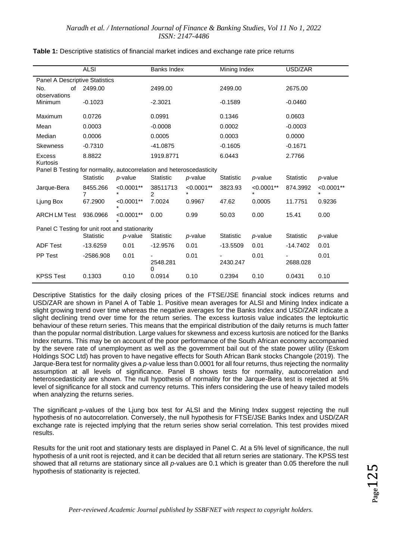|                                                                       | <b>ALSI</b>      |                          | <b>Banks Index</b>         |                          | Mining Index     |                   | USD/ZAR          |                          |  |
|-----------------------------------------------------------------------|------------------|--------------------------|----------------------------|--------------------------|------------------|-------------------|------------------|--------------------------|--|
| Panel A Descriptive Statistics                                        |                  |                          |                            |                          |                  |                   |                  |                          |  |
| No.<br>of<br>observations                                             | 2499.00          |                          | 2499.00                    |                          | 2499.00          |                   | 2675.00          |                          |  |
| Minimum                                                               | $-0.1023$        |                          | $-2.3021$                  |                          | $-0.1589$        |                   | $-0.0460$        |                          |  |
| Maximum                                                               | 0.0726           |                          | 0.0991                     |                          | 0.1346           |                   | 0.0603           |                          |  |
| Mean                                                                  | 0.0003           |                          | $-0.0008$                  |                          | 0.0002           |                   | $-0.0003$        |                          |  |
| Median                                                                | 0.0006           |                          | 0.0005                     |                          | 0.0003           |                   | 0.0000           |                          |  |
| <b>Skewness</b>                                                       | $-0.7310$        |                          | $-41.0875$                 |                          | $-0.1605$        |                   | $-0.1671$        |                          |  |
| <b>Excess</b><br>Kurtosis                                             | 8.8822           |                          | 1919.8771                  |                          | 6.0443           |                   | 2.7766           |                          |  |
| Panel B Testing for normality, autocorrelation and heteroscedasticity |                  |                          |                            |                          |                  |                   |                  |                          |  |
|                                                                       | Statistic        | p-value                  | Statistic                  | p-value                  | <b>Statistic</b> | p-value           | <b>Statistic</b> | p-value                  |  |
| Jarque-Bera                                                           | 8455.266<br>7    | $< 0.0001$ **<br>$\star$ | 38511713<br>$\overline{2}$ | $< 0.0001$ **<br>$\star$ | 3823.93          | $< 0.0001**$<br>* | 874.3992         | $< 0.0001$ **<br>$\star$ |  |
| Ljung Box                                                             | 67.2900          | $< 0.0001$ **            | 7.0024                     | 0.9967                   | 47.62            | 0.0005            | 11.7751          | 0.9236                   |  |
| <b>ARCH LM Test</b>                                                   | 936.0966         | $< 0.0001**$             | 0.00                       | 0.99                     | 50.03            | 0.00              | 15.41            | 0.00                     |  |
| Panel C Testing for unit root and stationarity                        |                  |                          |                            |                          |                  |                   |                  |                          |  |
|                                                                       | <b>Statistic</b> | p-value                  | <b>Statistic</b>           | p-value                  | <b>Statistic</b> | p-value           | <b>Statistic</b> | p-value                  |  |
| <b>ADF Test</b>                                                       | $-13.6259$       | 0.01                     | $-12.9576$                 | 0.01                     | $-13.5509$       | 0.01              | -14.7402         | 0.01                     |  |
| <b>PP Test</b>                                                        | $-2586.908$      | 0.01                     | 2548.281<br>0              | 0.01                     | 2430.247         | 0.01              | 2688.028         | 0.01                     |  |
| <b>KPSS Test</b>                                                      | 0.1303           | 0.10                     | 0.0914                     | 0.10                     | 0.2394           | 0.10              | 0.0431           | 0.10                     |  |

| Table 1: Descriptive statistics of financial market indices and exchange rate price returns |  |
|---------------------------------------------------------------------------------------------|--|
|---------------------------------------------------------------------------------------------|--|

Descriptive Statistics for the daily closing prices of the FTSE/JSE financial stock indices returns and USD/ZAR are shown in Panel A of Table 1. Positive mean averages for ALSI and Mining Index indicate a slight growing trend over time whereas the negative averages for the Banks Index and USD/ZAR indicate a slight declining trend over time for the return series. The excess kurtosis value indicates the leptokurtic behaviour of these return series. This means that the empirical distribution of the daily returns is much fatter than the popular normal distribution. Large values for skewness and excess kurtosis are noticed for the Banks Index returns. This may be on account of the poor performance of the South African economy accompanied by the severe rate of unemployment as well as the government bail out of the state power utility (Eskom Holdings SOC Ltd) has proven to have negative effects for South African Bank stocks Changole (2019). The Jarque-Bera test for normality gives a *p*-value less than 0.0001 for all four returns, thus rejecting the normality assumption at all levels of significance. Panel B shows tests for normality, autocorrelation and heteroscedasticity are shown. The null hypothesis of normality for the Jarque-Bera test is rejected at 5% level of significance for all stock and currency returns. This infers considering the use of heavy tailed models when analyzing the returns series.

The significant p-values of the Ljung box test for ALSI and the Mining Index suggest rejecting the null hypothesis of no autocorrelation. Conversely, the null hypothesis for FTSE/JSE Banks Index and USD/ZAR exchange rate is rejected implying that the return series show serial correlation. This test provides mixed results.

Results for the unit root and stationary tests are displayed in Panel C. At a 5% level of significance, the null hypothesis of a unit root is rejected, and it can be decided that all return series are stationary. The KPSS test showed that all returns are stationary since all *p*-values are 0.1 which is greater than 0.05 therefore the null hypothesis of stationarity is rejected.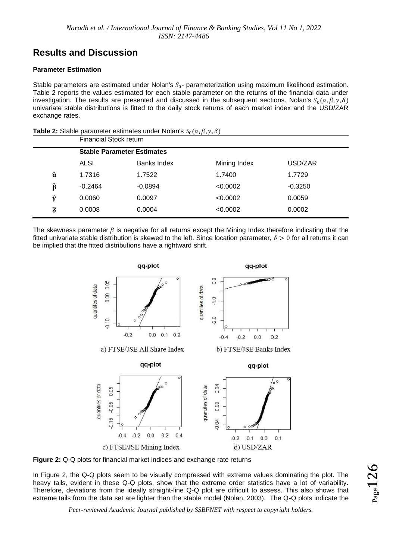### **Results and Discussion**

#### **Parameter Estimation**

Stable parameters are estimated under Nolan's  $S_0$ - parameterization using maximum likelihood estimation. Table 2 reports the values estimated for each stable parameter on the returns of the financial data under investigation. The results are presented and discussed in the subsequent sections. Nolan's  $S_0(\alpha, \beta, \gamma, \delta)$ univariate stable distributions is fitted to the daily stock returns of each market index and the USD/ZAR exchange rates.

| <b>Table 2:</b> Stable parameter estimates under Nolan's $S_0(\alpha, \beta, \gamma, \delta)$ |
|-----------------------------------------------------------------------------------------------|
|-----------------------------------------------------------------------------------------------|

|                    | Financial Stock return |                                   |              |           |  |  |  |  |  |
|--------------------|------------------------|-----------------------------------|--------------|-----------|--|--|--|--|--|
|                    |                        | <b>Stable Parameter Estimates</b> |              |           |  |  |  |  |  |
|                    | ALSI                   | Banks Index                       | Mining Index | USD/ZAR   |  |  |  |  |  |
| $\widehat{\alpha}$ | 1.7316                 | 1.7522                            | 1.7400       | 1.7729    |  |  |  |  |  |
| $\widehat{\beta}$  | $-0.2464$              | $-0.0894$                         | < 0.0002     | $-0.3250$ |  |  |  |  |  |
| ŷ                  | 0.0060                 | 0.0097                            | < 0.0002     | 0.0059    |  |  |  |  |  |
| $\widehat{\delta}$ | 0.0008                 | 0.0004                            | < 0.0002     | 0.0002    |  |  |  |  |  |

The skewness parameter  $\beta$  is negative for all returns except the Mining Index therefore indicating that the fitted univariate stable distribution is skewed to the left. Since location parameter,  $\delta > 0$  for all returns it can be implied that the fitted distributions have a rightward shift.





In Figure 2, the Q-Q plots seem to be visually compressed with extreme values dominating the plot. The heavy tails, evident in these Q-Q plots, show that the extreme order statistics have a lot of variability. Therefore, deviations from the ideally straight-line Q-Q plot are difficult to assess. This also shows that extreme tails from the data set are lighter than the stable model (Nolan, 2003). The Q-Q plots indicate the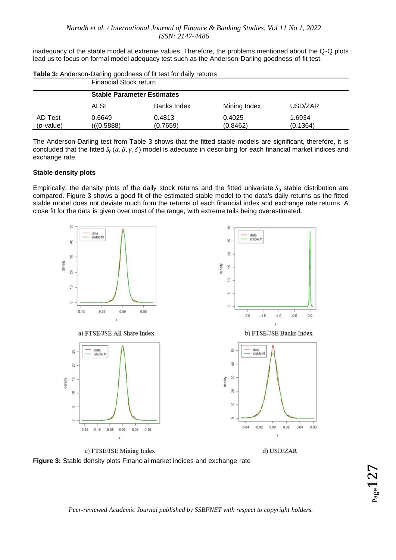inadequacy of the stable model at extreme values. Therefore, the problems mentioned about the Q-Q plots lead us to focus on formal model adequacy test such as the Anderson-Darling goodness-of-fit test.

|              | Financial Stock return            |             |              |          |  |  |  |  |  |
|--------------|-----------------------------------|-------------|--------------|----------|--|--|--|--|--|
|              | <b>Stable Parameter Estimates</b> |             |              |          |  |  |  |  |  |
|              | ALSI                              | Banks Index | Mining Index | USD/ZAR  |  |  |  |  |  |
| AD Test      | 0.6649                            | 0.4813      | 0.4025       | 1.6934   |  |  |  |  |  |
| $(p$ -value) | (((0.5888))                       | (0.7659)    | (0.8462)     | (0.1364) |  |  |  |  |  |

**Table 3:** Anderson-Darling goodness of fit test for daily returns

The Anderson-Darling test from Table 3 shows that the fitted stable models are significant, therefore, it is concluded that the fitted  $S_0(\alpha, \beta, \gamma, \delta)$  model is adequate in describing for each financial market indices and exchange rate.

#### **Stable density plots**

Empirically, the density plots of the daily stock returns and the fitted univariate  $S_0$  stable distribution are compared. Figure 3 shows a good fit of the estimated stable model to the data's daily returns as the fitted stable model does not deviate much from the returns of each financial index and exchange rate returns. A close fit for the data is given over most of the range, with extreme tails being overestimated.



**Figure 3:** Stable density plots Financial market indices and exchange rate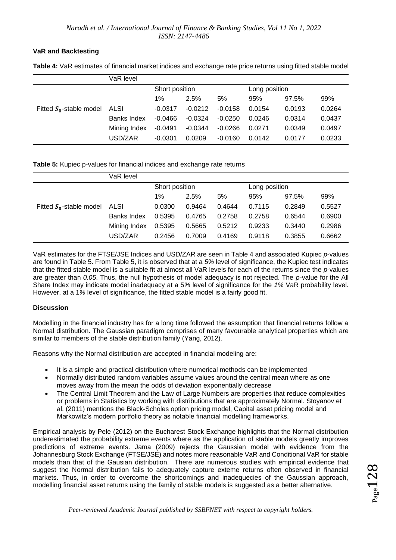#### **VaR and Backtesting**

|                            | VaR level          |                |           |               |        |        |        |
|----------------------------|--------------------|----------------|-----------|---------------|--------|--------|--------|
|                            |                    | Short position |           | Long position |        |        |        |
|                            |                    | $1\%$          | 2.5%      | 5%            | 95%    | 97.5%  | 99%    |
| Fitted $S_0$ -stable model | ALSI               | $-0.0317$      | $-0.0212$ | $-0.0158$     | 0.0154 | 0.0193 | 0.0264 |
|                            | <b>Banks Index</b> | $-0.0466$      | $-0.0324$ | $-0.0250$     | 0.0246 | 0.0314 | 0.0437 |
|                            | Mining Index       | $-0.0491$      | $-0.0344$ | $-0.0266$     | 0.0271 | 0.0349 | 0.0497 |
|                            | USD/ZAR            | $-0.0301$      | 0.0209    | $-0.0160$     | 0.0142 | 0.0177 | 0.0233 |

**Table 4:** VaR estimates of financial market indices and exchange rate price returns using fitted stable model

#### **Table 5:** Kupiec p-values for financial indices and exchange rate returns

|                            | VaR level    |                |        |               |        |        |        |
|----------------------------|--------------|----------------|--------|---------------|--------|--------|--------|
|                            |              | Short position |        | Long position |        |        |        |
|                            |              | $1\%$          | 2.5%   | 5%            | 95%    | 97.5%  | 99%    |
| Fitted $S_0$ -stable model | ALSI         | 0.0300         | 0.9464 | 0.4644        | 0.7115 | 0.2849 | 0.5527 |
|                            | Banks Index  | 0.5395         | 0.4765 | 0.2758        | 0.2758 | 0.6544 | 0.6900 |
|                            | Mining Index | 0.5395         | 0.5665 | 0.5212        | 0.9233 | 0.3440 | 0.2986 |
|                            | USD/ZAR      | 0.2456         | 0.7009 | 0.4169        | 0.9118 | 0.3855 | 0.6662 |

VaR estimates for the FTSE/JSE Indices and USD/ZAR are seen in Table 4 and associated Kupiec *p*-values are found in Table 5. From Table 5, it is observed that at a *5%* level of significance, the Kupiec test indicates that the fitted stable model is a suitable fit at almost all VaR levels for each of the returns since the *p*-values are greater than *0.05*. Thus, the null hypothesis of model adequacy is not rejected. The *p*-value for the All Share Index may indicate model inadequacy at a 5*%* level of significance for the *1%* VaR probability level. However, at a 1*%* level of significance, the fitted stable model is a fairly good fit.

#### **Discussion**

Modelling in the financial industry has for a long time followed the assumption that financial returns follow a Normal distribution. The Gaussian paradigm comprises of many favourable analytical properties which are similar to members of the stable distribution family (Yang, 2012).

Reasons why the Normal distribution are accepted in financial modeling are:

- It is a simple and practical distribution where numerical methods can be implemented
- Normally distributed random variables assume values around the central mean where as one moves away from the mean the odds of deviation exponentially decrease
- The Central Limit Theorem and the Law of Large Numbers are properties that reduce complexities or problems in Statistics by working with distributions that are approximately Normal. Stoyanov et al. (2011) mentions the Black-Scholes option pricing model, Capital asset pricing model and Markowitz's modern portfolio theory as notable financial modelling frameworks.

Empirical analysis by Pele (2012) on the Bucharest Stock Exchange highlights that the Normal distribution underestimated the probability extreme events where as the application of stable models greatly improves predictions of extreme events. Jama (2009) rejects the Gaussian model with evidence from the Johannesburg Stock Exchange (FTSE/JSE) and notes more reasonable VaR and Conditional VaR for stable models than that of the Gausian distribution. There are numerous studies with empirical evidence that suggest the Normal distribution fails to adequately capture exteme returns often observed in financial markets. Thus, in order to overcome the shortcomings and inadequecies of the Gaussian approach, modelling financial asset returns using the family of stable models is suggested as a better alternative.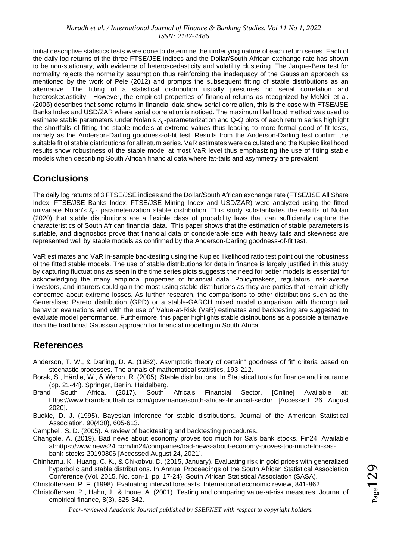Initial descriptive statistics tests were done to determine the underlying nature of each return series. Each of the daily log returns of the three FTSE/JSE indices and the Dollar/South African exchange rate has shown to be non-stationary, with evidence of heteroscedasticity and volatility clustering. The Jarque-Bera test for normality rejects the normality assumption thus reinforcing the inadequacy of the Gaussian approach as mentioned by the work of Pele (2012) and prompts the subsequent fitting of stable distributions as an alternative. The fitting of a statistical distribution usually presumes no serial correlation and heteroskedasticity. However, the empirical properties of financial returns as recognized by McNeil et al. (2005) describes that some returns in financial data show serial correlation, this is the case with FTSE/JSE Banks Index and USD/ZAR where serial correlation is noticed. The maximum likelihood method was used to estimate stable parameters under Nolan's  $S_0$ -parameterization and Q-Q plots of each return series highlight the shortfalls of fitting the stable models at extreme values thus leading to more formal good of fit tests, namely as the Anderson-Darling goodness-of-fit test. Results from the Anderson-Darling test confirm the suitable fit of stable distributions for all return series. VaR estimates were calculated and the Kupiec likelihood results show robustness of the stable model at most VaR level thus emphasizing the use of fitting stable models when describing South African financial data where fat-tails and asymmetry are prevalent.

### **Conclusions**

The daily log returns of 3 FTSE/JSE indices and the Dollar/South African exchange rate (FTSE/JSE All Share Index, FTSE/JSE Banks Index, FTSE/JSE Mining Index and USD/ZAR) were analyzed using the fitted univariate Nolan's  $S_0$ - parameterization stable distribution. This study substantiates the results of Nolan (2020) that stable distributions are a flexible class of probability laws that can sufficiently capture the characteristics of South African financial data. This paper shows that the estimation of stable parameters is suitable, and diagnostics prove that financial data of considerable size with heavy tails and skewness are represented well by stable models as confirmed by the Anderson-Darling goodness-of-fit test.

VaR estimates and VaR in-sample backtesting using the Kupiec likelihood ratio test point out the robustness of the fitted stable models. The use of stable distributions for data in finance is largely justified in this study by capturing fluctuations as seen in the time series plots suggests the need for better models is essential for acknowledging the many empirical properties of financial data. Policymakers, regulators, risk-averse investors, and insurers could gain the most using stable distributions as they are parties that remain chiefly concerned about extreme losses. As further research, the comparisons to other distributions such as the Generalised Pareto distribution (GPD) or a stable-GARCH mixed model comparison with thorough tail behavior evaluations and with the use of Value-at-Risk (VaR) estimates and backtesting are suggested to evaluate model performance. Furthermore, this paper highlights stable distributions as a possible alternative than the traditional Gaussian approach for financial modelling in South Africa.

### **References**

- Anderson, T. W., & Darling, D. A. (1952). Asymptotic theory of certain" goodness of fit" criteria based on stochastic processes. The annals of mathematical statistics, 193-212.
- Borak, S., Härdle, W., & Weron, R. (2005). Stable distributions. In Statistical tools for finance and insurance (pp. 21-44). Springer, Berlin, Heidelberg.
- Brand South Africa. (2017). South Africa's Financial Sector. [Online] Available at: https://www.brandsouthafrica.com/governance/south-africas-financial-sector [Accessed 26 August 2020].
- Buckle, D. J. (1995). Bayesian inference for stable distributions. Journal of the American Statistical Association, 90(430), 605-613.
- Campbell, S. D. (2005). A review of backtesting and backtesting procedures.
- Changole, A. (2019). Bad news about economy proves too much for Sa's bank stocks. Fin24. Available at:https://www.news24.com/fin24/companies/bad-news-about-economy-proves-too-much-for-sasbank-stocks-20190806 [Accessed August 24, 2021].
- Chinhamu, K., Huang, C. K., & Chikobvu, D. (2015, January). Evaluating risk in gold prices with generalized hyperbolic and stable distributions. In Annual Proceedings of the South African Statistical Association Conference (Vol. 2015, No. con-1, pp. 17-24). South African Statistical Association (SASA).

Christoffersen, P. F. (1998). Evaluating interval forecasts. International economic review, 841-862.

Christoffersen, P., Hahn, J., & Inoue, A. (2001). Testing and comparing value-at-risk measures. Journal of empirical finance, 8(3), 325-342.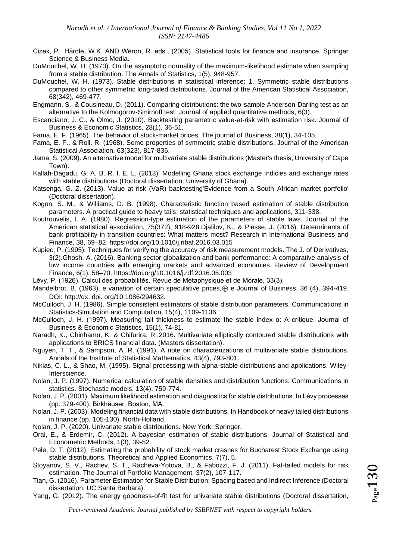- Cizek, P., Härdle, W.K. AND Weron, R. eds., (2005). Statistical tools for finance and insurance. Springer Science & Business Media.
- DuMouchel, W. H. (1973). On the asymptotic normality of the maximum-likelihood estimate when sampling from a stable distribution. The Annals of Statistics, 1(5), 948-957.
- DuMouchel, W. H. (1973). Stable distributions in statistical inference: 1. Symmetric stable distributions compared to other symmetric long-tailed distributions. Journal of the American Statistical Association, 68(342), 469-477.
- Engmann, S., & Cousineau, D. (2011). Comparing distributions: the two-sample Anderson-Darling test as an alternative to the Kolmogorov-Smirnoff test. Journal of applied quantitative methods, 6(3).
- Escanciano, J. C., & Olmo, J. (2010). Backtesting parametric value-at-risk with estimation risk. Journal of Business & Economic Statistics, 28(1), 36-51.
- Fama, E. F. (1965). The behavior of stock-market prices. The journal of Business, 38(1), 34-105.
- Fama, E. F., & Roll, R. (1968). Some properties of symmetric stable distributions. Journal of the American Statistical Association, 63(323), 817-836.
- Jama, S. (2009). An alternative model for multivariate stable distributions (Master's thesis, University of Cape Town).
- Kallah-Dagadu, G. A. B. R. I. E. L. (2013). Modelling Ghana stock exchange Indicies and exchange rates with stable distributions (Doctoral dissertation, University of Ghana).
- Katsenga, G. Z. (2013). Value at risk (VaR) backtesting'Evidence from a South African market portfolio' (Doctoral dissertation).
- Kogon, S. M., & Williams, D. B. (1998). Characteristic function based estimation of stable distribution parameters. A practical guide to heavy tails: statistical techniques and applications, 311-338.
- Koutrouvelis, I. A. (1980). Regression-type estimation of the parameters of stable laws. Journal of the American statistical association, 75(372), 918-928.Djalilov, K., & Piesse, J. (2016). Determinants of bank profitability in transition countries: What matters most? Research in International Business and Finance, 38, 69–82. https://doi.org/10.1016/j.ribaf.2016.03.015
- Kupiec, P. (1995). Techniques for verifying the accuracy of risk measurement models. The J. of Derivatives, 3(2).Ghosh, A. (2016). Banking sector globalization and bank performance: A comparative analysis of low income countries with emerging markets and advanced economies. Review of Development Finance, 6(1), 58–70. https://doi.org/10.1016/j.rdf.2016.05.003
- Lévy, P. (1926). Calcul des probabilités. Revue de Métaphysique et de Morale, 33(3).
- Mandelbrot, B. (1963). e variation of certain speculative prices,  $\oplus$  e Journal of Business, 36 (4), 394-419. DOI: http://dx. doi. org/10.1086/294632.
- McCulloch, J. H. (1986). Simple consistent estimators of stable distribution parameters. Communications in Statistics-Simulation and Computation, 15(4), 1109-1136.
- McCulloch, J. H. (1997). Measuring tail thickness to estimate the stable index α: A critique. Journal of Business & Economic Statistics, 15(1), 74-81.
- Naradh, K., Chinhamu, K. & Chifurira, R.,2016. Multivariate elliptically contoured stable distributions with applications to BRICS financial data. (Masters dissertation).
- Nguyen, T. T., & Sampson, A. R. (1991). A note on characterizations of multivariate stable distributions. Annals of the Institute of Statistical Mathematics, 43(4), 793-801.
- Nikias, C. L., & Shao, M. (1995). Signal processing with alpha-stable distributions and applications. Wiley-Interscience.
- Nolan, J. P. (1997). Numerical calculation of stable densities and distribution functions. Communications in statistics. Stochastic models, 13(4), 759-774.
- Nolan, J. P. (2001). Maximum likelihood estimation and diagnostics for stable distributions. In Lévy processes (pp. 379-400). Birkhäuser, Boston, MA.
- Nolan, J. P. (2003). Modeling financial data with stable distributions. In Handbook of heavy tailed distributions in finance (pp. 105-130). North-Holland.
- Nolan, J. P. (2020). Univariate stable distributions. New York: Springer.
- Oral, E., & Erdemir, C. (2012). A bayesian estimation of stable distributions. Journal of Statistical and Econometric Methods, 1(3), 39-52.
- Pele, D. T. (2012). Estimating the probability of stock market crashes for Bucharest Stock Exchange using stable distributions. Theoretical and Applied Economics, 7(7), 5.
- Stoyanov, S. V., Rachev, S. T., Racheva-Yotova, B., & Fabozzi, F. J. (2011). Fat-tailed models for risk estimation. The Journal of Portfolio Management, 37(2), 107-117.
- Tian, G. (2016). Parameter Estimation for Stable Distribution: Spacing based and Indirect Inference (Doctoral dissertation, UC Santa Barbara).
- Yang, G. (2012). The energy goodness-of-fit test for univariate stable distributions (Doctoral dissertation,